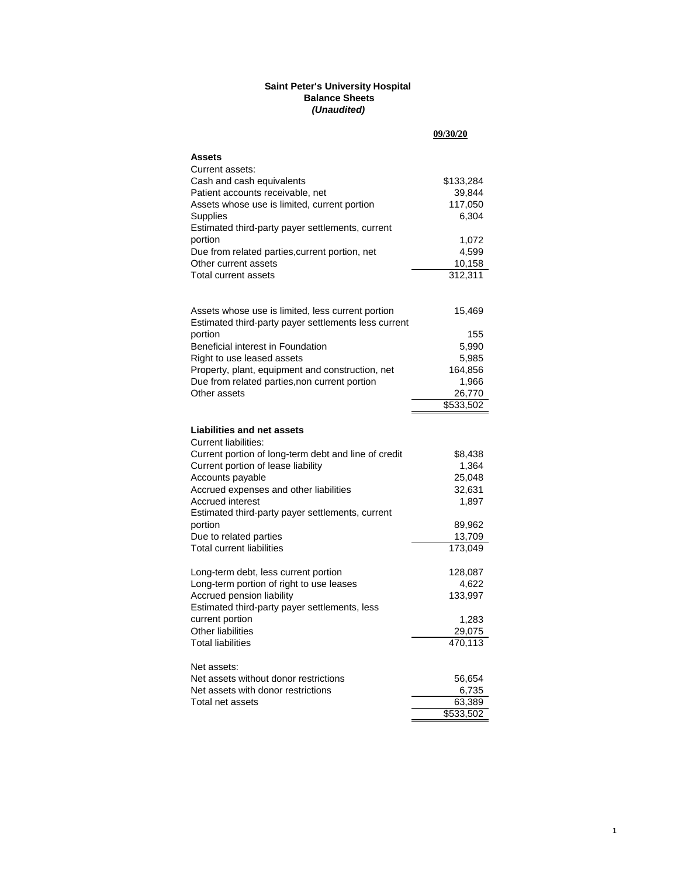#### **Saint Peter's University Hospital Balance Sheets** *(Unaudited)*

|                                                                                                           | 09/30/20  |
|-----------------------------------------------------------------------------------------------------------|-----------|
| Assets                                                                                                    |           |
| Current assets:                                                                                           |           |
| Cash and cash equivalents                                                                                 | \$133,284 |
| Patient accounts receivable, net                                                                          | 39,844    |
| Assets whose use is limited, current portion                                                              | 117,050   |
| <b>Supplies</b>                                                                                           | 6,304     |
| Estimated third-party payer settlements, current                                                          |           |
| portion                                                                                                   | 1,072     |
| Due from related parties, current portion, net                                                            | 4,599     |
| Other current assets                                                                                      | 10,158    |
| Total current assets                                                                                      | 312,311   |
|                                                                                                           |           |
|                                                                                                           |           |
| Assets whose use is limited, less current portion<br>Estimated third-party payer settlements less current | 15,469    |
| portion                                                                                                   | 155       |
| Beneficial interest in Foundation                                                                         | 5,990     |
| Right to use leased assets                                                                                | 5,985     |
| Property, plant, equipment and construction, net                                                          | 164,856   |
| Due from related parties, non current portion                                                             | 1,966     |
| Other assets                                                                                              | 26,770    |
|                                                                                                           | \$533,502 |
|                                                                                                           |           |
| <b>Liabilities and net assets</b>                                                                         |           |
| <b>Current liabilities:</b>                                                                               |           |
| Current portion of long-term debt and line of credit                                                      | \$8,438   |
| Current portion of lease liability                                                                        | 1,364     |
| Accounts payable                                                                                          | 25,048    |
| Accrued expenses and other liabilities                                                                    | 32,631    |
| <b>Accrued interest</b>                                                                                   | 1,897     |
| Estimated third-party payer settlements, current                                                          |           |
| portion                                                                                                   | 89,962    |
| Due to related parties                                                                                    | 13,709    |
| <b>Total current liabilities</b>                                                                          | 173,049   |
| Long-term debt, less current portion                                                                      | 128,087   |
| Long-term portion of right to use leases                                                                  | 4,622     |
| Accrued pension liability                                                                                 | 133,997   |
| Estimated third-party payer settlements, less                                                             |           |
| current portion                                                                                           | 1,283     |
| Other liabilities                                                                                         | 29,075    |
| <b>Total liabilities</b>                                                                                  | 470,113   |
| Net assets:                                                                                               |           |
| Net assets without donor restrictions                                                                     | 56,654    |
| Net assets with donor restrictions                                                                        | 6,735     |
| Total net assets                                                                                          | 63,389    |
|                                                                                                           | \$533,502 |
|                                                                                                           |           |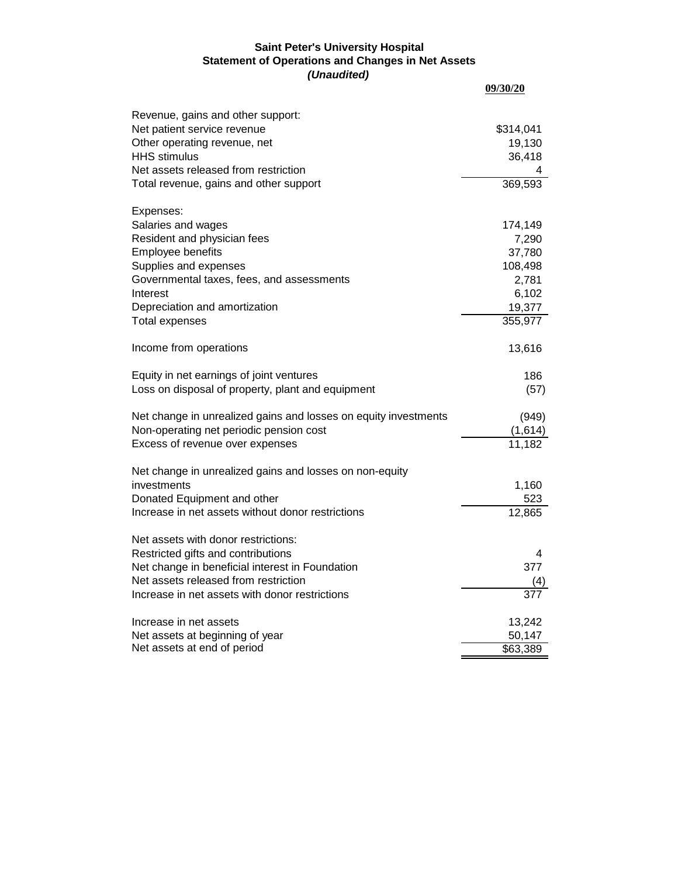#### **Saint Peter's University Hospital Statement of Operations and Changes in Net Assets** *(Unaudited)*

| ,,,,,,,,,,,,                                                    | 09/30/20             |
|-----------------------------------------------------------------|----------------------|
| Revenue, gains and other support:                               |                      |
| Net patient service revenue                                     | \$314,041            |
| Other operating revenue, net                                    | 19,130               |
| <b>HHS</b> stimulus                                             | 36,418               |
| Net assets released from restriction                            |                      |
| Total revenue, gains and other support                          | 369,593              |
| Expenses:                                                       |                      |
| Salaries and wages                                              | 174,149              |
| Resident and physician fees                                     | 7,290                |
| Employee benefits                                               | 37,780               |
| Supplies and expenses                                           | 108,498              |
| Governmental taxes, fees, and assessments                       | 2,781                |
| Interest                                                        | 6,102                |
| Depreciation and amortization                                   | 19,377               |
| Total expenses                                                  | 355,977              |
| Income from operations                                          | 13,616               |
| Equity in net earnings of joint ventures                        | 186                  |
| Loss on disposal of property, plant and equipment               | (57)                 |
| Net change in unrealized gains and losses on equity investments | (949)                |
| Non-operating net periodic pension cost                         | (1,614)              |
| Excess of revenue over expenses                                 | 11,182               |
| Net change in unrealized gains and losses on non-equity         |                      |
| investments                                                     | 1,160                |
| Donated Equipment and other                                     | 523                  |
| Increase in net assets without donor restrictions               | 12,865               |
| Net assets with donor restrictions:                             |                      |
| Restricted gifts and contributions                              | 4                    |
| Net change in beneficial interest in Foundation                 | 377                  |
| Net assets released from restriction                            |                      |
| Increase in net assets with donor restrictions                  |                      |
| Increase in net assets                                          | 13,242               |
| Net assets at beginning of year                                 | 50,147               |
| Net assets at end of period                                     | $\overline{$}63,389$ |